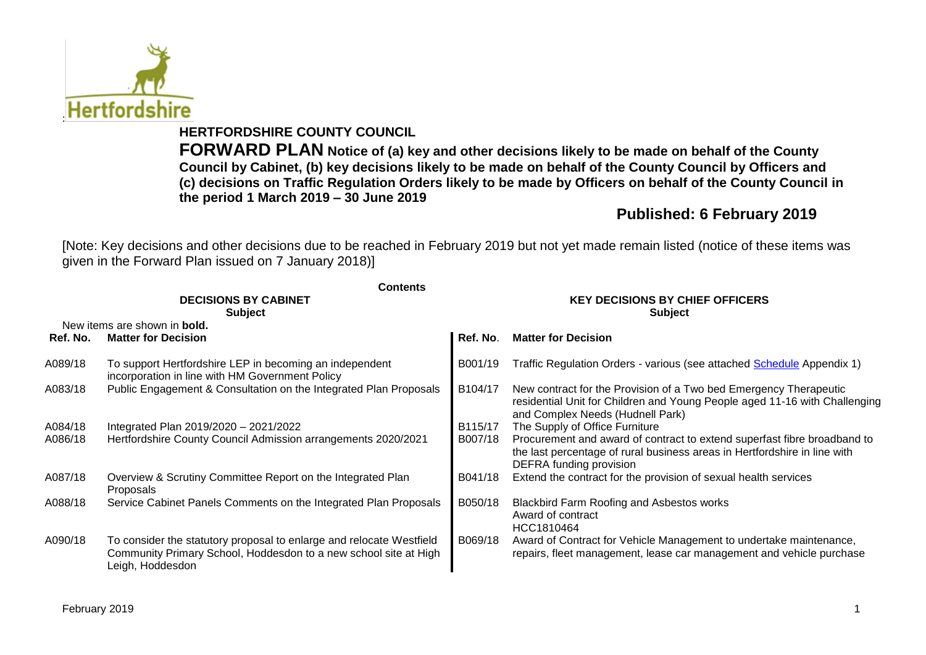

## **HERTFORDSHIRE COUNTY COUNCIL**

**FORWARD PLAN Notice of (a) key and other decisions likely to be made on behalf of the County Council by Cabinet, (b) key decisions likely to be made on behalf of the County Council by Officers and (c) decisions on Traffic Regulation Orders likely to be made by Officers on behalf of the County Council in the period 1 March 2019 – 30 June 2019**

# **Published: 6 February 2019**

[Note: Key decisions and other decisions due to be reached in February 2019 but not yet made remain listed (notice of these items was given in the Forward Plan issued on 7 January 2018)]

|          | <b>Contents</b><br><b>DECISIONS BY CABINET</b><br><b>Subject</b>                                                                                             | <b>KEY DECISIONS BY CHIEF OFFICERS</b><br><b>Subject</b> |                                                                                                                                                                                     |  |  |
|----------|--------------------------------------------------------------------------------------------------------------------------------------------------------------|----------------------------------------------------------|-------------------------------------------------------------------------------------------------------------------------------------------------------------------------------------|--|--|
| Ref. No. | New items are shown in <b>bold.</b><br><b>Matter for Decision</b>                                                                                            | Ref. No.                                                 | <b>Matter for Decision</b>                                                                                                                                                          |  |  |
| A089/18  | To support Hertfordshire LEP in becoming an independent<br>incorporation in line with HM Government Policy                                                   | B001/19                                                  | Traffic Regulation Orders - various (see attached Schedule Appendix 1)                                                                                                              |  |  |
| A083/18  | Public Engagement & Consultation on the Integrated Plan Proposals                                                                                            | B104/17                                                  | New contract for the Provision of a Two bed Emergency Therapeutic<br>residential Unit for Children and Young People aged 11-16 with Challenging<br>and Complex Needs (Hudnell Park) |  |  |
| A084/18  | Integrated Plan 2019/2020 - 2021/2022                                                                                                                        | B115/17                                                  | The Supply of Office Furniture                                                                                                                                                      |  |  |
| A086/18  | Hertfordshire County Council Admission arrangements 2020/2021                                                                                                | B007/18                                                  | Procurement and award of contract to extend superfast fibre broadband to<br>the last percentage of rural business areas in Hertfordshire in line with<br>DEFRA funding provision    |  |  |
| A087/18  | Overview & Scrutiny Committee Report on the Integrated Plan<br>Proposals                                                                                     | B041/18                                                  | Extend the contract for the provision of sexual health services                                                                                                                     |  |  |
| A088/18  | Service Cabinet Panels Comments on the Integrated Plan Proposals                                                                                             | B050/18                                                  | Blackbird Farm Roofing and Asbestos works<br>Award of contract<br>HCC1810464                                                                                                        |  |  |
| A090/18  | To consider the statutory proposal to enlarge and relocate Westfield<br>Community Primary School, Hoddesdon to a new school site at High<br>Leigh, Hoddesdon | B069/18                                                  | Award of Contract for Vehicle Management to undertake maintenance,<br>repairs, fleet management, lease car management and vehicle purchase                                          |  |  |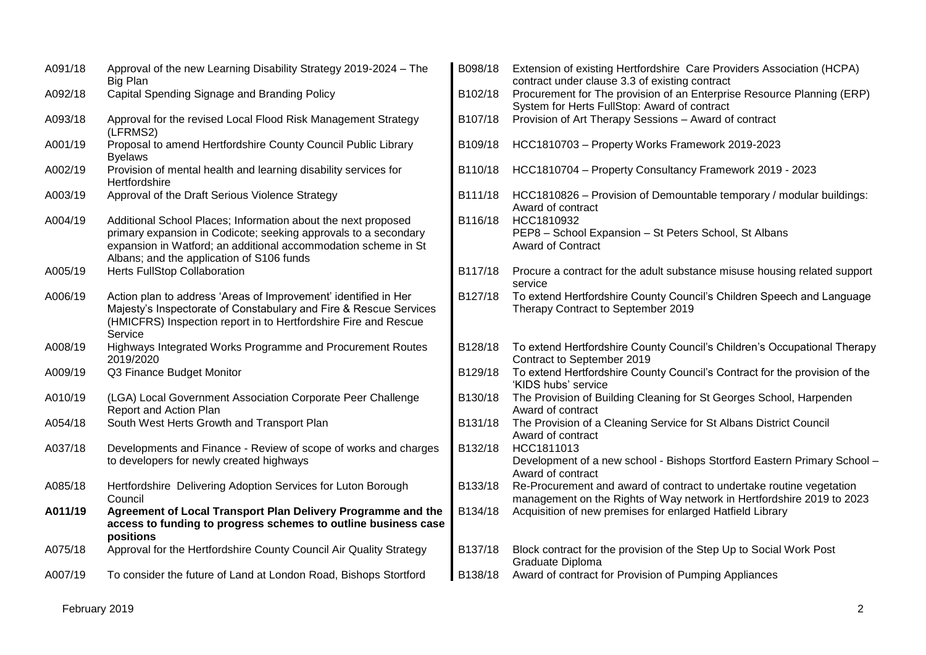| A091/18 | Approval of the new Learning Disability Strategy 2019-2024 - The<br>Big Plan                                                                                                   | B098/18 | Extension of existing Hertfordshire Care Providers Association (HCPA)<br>contract under clause 3.3 of existing contract                       |
|---------|--------------------------------------------------------------------------------------------------------------------------------------------------------------------------------|---------|-----------------------------------------------------------------------------------------------------------------------------------------------|
| A092/18 | Capital Spending Signage and Branding Policy                                                                                                                                   | B102/18 | Procurement for The provision of an Enterprise Resource Planning (ERP)<br>System for Herts FullStop: Award of contract                        |
| A093/18 | Approval for the revised Local Flood Risk Management Strategy<br>(LFRMS2)                                                                                                      | B107/18 | Provision of Art Therapy Sessions - Award of contract                                                                                         |
| A001/19 | Proposal to amend Hertfordshire County Council Public Library<br><b>Byelaws</b>                                                                                                | B109/18 | HCC1810703 - Property Works Framework 2019-2023                                                                                               |
| A002/19 | Provision of mental health and learning disability services for<br>Hertfordshire                                                                                               | B110/18 | HCC1810704 - Property Consultancy Framework 2019 - 2023                                                                                       |
| A003/19 | Approval of the Draft Serious Violence Strategy                                                                                                                                | B111/18 | HCC1810826 - Provision of Demountable temporary / modular buildings:<br>Award of contract                                                     |
| A004/19 | Additional School Places; Information about the next proposed                                                                                                                  | B116/18 | HCC1810932                                                                                                                                    |
|         | primary expansion in Codicote; seeking approvals to a secondary<br>expansion in Watford; an additional accommodation scheme in St<br>Albans; and the application of S106 funds |         | PEP8 - School Expansion - St Peters School, St Albans<br><b>Award of Contract</b>                                                             |
| A005/19 | Herts FullStop Collaboration                                                                                                                                                   | B117/18 | Procure a contract for the adult substance misuse housing related support                                                                     |
|         |                                                                                                                                                                                |         | service                                                                                                                                       |
| A006/19 | Action plan to address 'Areas of Improvement' identified in Her                                                                                                                | B127/18 | To extend Hertfordshire County Council's Children Speech and Language                                                                         |
|         | Majesty's Inspectorate of Constabulary and Fire & Rescue Services<br>(HMICFRS) Inspection report in to Hertfordshire Fire and Rescue<br>Service                                |         | Therapy Contract to September 2019                                                                                                            |
| A008/19 | Highways Integrated Works Programme and Procurement Routes<br>2019/2020                                                                                                        | B128/18 | To extend Hertfordshire County Council's Children's Occupational Therapy<br>Contract to September 2019                                        |
| A009/19 | Q3 Finance Budget Monitor                                                                                                                                                      | B129/18 | To extend Hertfordshire County Council's Contract for the provision of the<br>'KIDS hubs' service                                             |
| A010/19 | (LGA) Local Government Association Corporate Peer Challenge<br>Report and Action Plan                                                                                          | B130/18 | The Provision of Building Cleaning for St Georges School, Harpenden<br>Award of contract                                                      |
| A054/18 | South West Herts Growth and Transport Plan                                                                                                                                     | B131/18 | The Provision of a Cleaning Service for St Albans District Council<br>Award of contract                                                       |
| A037/18 | Developments and Finance - Review of scope of works and charges<br>to developers for newly created highways                                                                    | B132/18 | HCC1811013<br>Development of a new school - Bishops Stortford Eastern Primary School -                                                        |
|         |                                                                                                                                                                                |         | Award of contract                                                                                                                             |
| A085/18 | Hertfordshire Delivering Adoption Services for Luton Borough<br>Council                                                                                                        | B133/18 | Re-Procurement and award of contract to undertake routine vegetation<br>management on the Rights of Way network in Hertfordshire 2019 to 2023 |
| A011/19 | Agreement of Local Transport Plan Delivery Programme and the<br>access to funding to progress schemes to outline business case<br>positions                                    | B134/18 | Acquisition of new premises for enlarged Hatfield Library                                                                                     |
| A075/18 | Approval for the Hertfordshire County Council Air Quality Strategy                                                                                                             | B137/18 | Block contract for the provision of the Step Up to Social Work Post<br>Graduate Diploma                                                       |
| A007/19 | To consider the future of Land at London Road, Bishops Stortford                                                                                                               | B138/18 | Award of contract for Provision of Pumping Appliances                                                                                         |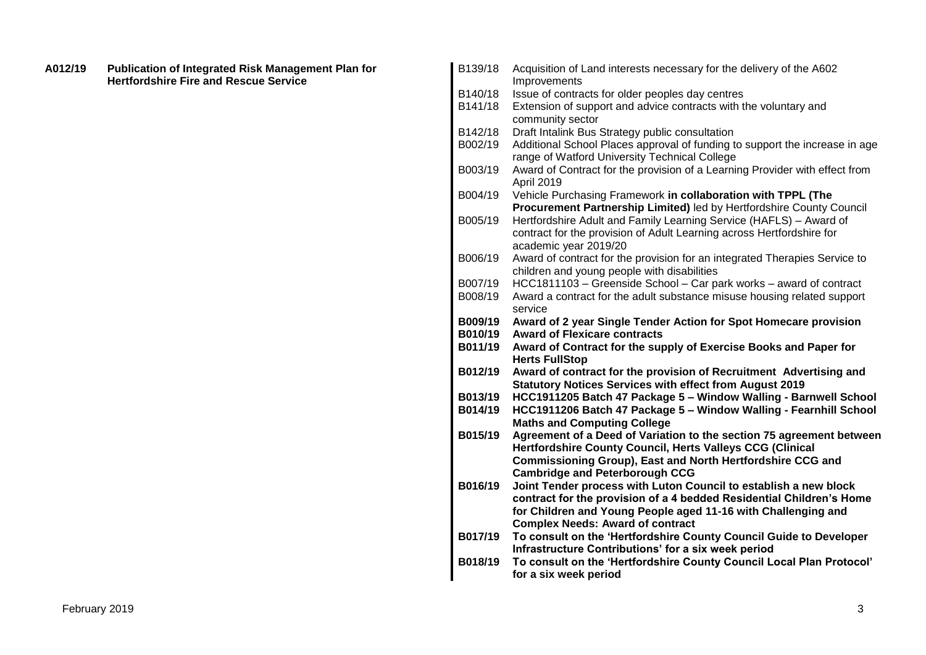| A012/19 | <b>Publication of Integrated Risk Management Plan for</b><br><b>Hertfordshire Fire and Rescue Service</b> | B139/18 | Acquisition of Land interests necessary for the delivery of the A602<br>Improvements           |
|---------|-----------------------------------------------------------------------------------------------------------|---------|------------------------------------------------------------------------------------------------|
|         |                                                                                                           | B140/18 | Issue of contracts for older peoples day centres                                               |
|         |                                                                                                           | B141/18 | Extension of support and advice contracts with the voluntary and<br>community sector           |
|         |                                                                                                           | B142/18 | Draft Intalink Bus Strategy public consultation                                                |
|         |                                                                                                           | B002/19 | Additional School Places approval of funding to support the increase in age                    |
|         |                                                                                                           |         | range of Watford University Technical College                                                  |
|         |                                                                                                           | B003/19 | Award of Contract for the provision of a Learning Provider with effect from                    |
|         |                                                                                                           |         | April 2019                                                                                     |
|         |                                                                                                           | B004/19 | Vehicle Purchasing Framework in collaboration with TPPL (The                                   |
|         |                                                                                                           |         | Procurement Partnership Limited) led by Hertfordshire County Council                           |
|         |                                                                                                           | B005/19 | Hertfordshire Adult and Family Learning Service (HAFLS) - Award of                             |
|         |                                                                                                           |         | contract for the provision of Adult Learning across Hertfordshire for<br>academic year 2019/20 |
|         |                                                                                                           | B006/19 | Award of contract for the provision for an integrated Therapies Service to                     |
|         |                                                                                                           |         | children and young people with disabilities                                                    |
|         |                                                                                                           | B007/19 | HCC1811103 - Greenside School - Car park works - award of contract                             |
|         |                                                                                                           | B008/19 | Award a contract for the adult substance misuse housing related support<br>service             |
|         |                                                                                                           | B009/19 | Award of 2 year Single Tender Action for Spot Homecare provision                               |
|         |                                                                                                           | B010/19 | <b>Award of Flexicare contracts</b>                                                            |
|         |                                                                                                           | B011/19 | Award of Contract for the supply of Exercise Books and Paper for<br><b>Herts FullStop</b>      |
|         |                                                                                                           | B012/19 | Award of contract for the provision of Recruitment Advertising and                             |
|         |                                                                                                           |         | <b>Statutory Notices Services with effect from August 2019</b>                                 |
|         |                                                                                                           | B013/19 | HCC1911205 Batch 47 Package 5 - Window Walling - Barnwell School                               |
|         |                                                                                                           | B014/19 | HCC1911206 Batch 47 Package 5 - Window Walling - Fearnhill School                              |
|         |                                                                                                           |         | <b>Maths and Computing College</b>                                                             |
|         |                                                                                                           | B015/19 | Agreement of a Deed of Variation to the section 75 agreement between                           |
|         |                                                                                                           |         | Hertfordshire County Council, Herts Valleys CCG (Clinical                                      |
|         |                                                                                                           |         | Commissioning Group), East and North Hertfordshire CCG and                                     |
|         |                                                                                                           |         | <b>Cambridge and Peterborough CCG</b>                                                          |
|         |                                                                                                           | B016/19 | Joint Tender process with Luton Council to establish a new block                               |
|         |                                                                                                           |         | contract for the provision of a 4 bedded Residential Children's Home                           |
|         |                                                                                                           |         | for Children and Young People aged 11-16 with Challenging and                                  |
|         |                                                                                                           |         | <b>Complex Needs: Award of contract</b>                                                        |
|         |                                                                                                           | B017/19 | To consult on the 'Hertfordshire County Council Guide to Developer                             |
|         |                                                                                                           |         | Infrastructure Contributions' for a six week period                                            |
|         |                                                                                                           | B018/19 | To consult on the 'Hertfordshire County Council Local Plan Protocol'                           |
|         |                                                                                                           |         | for a six week period                                                                          |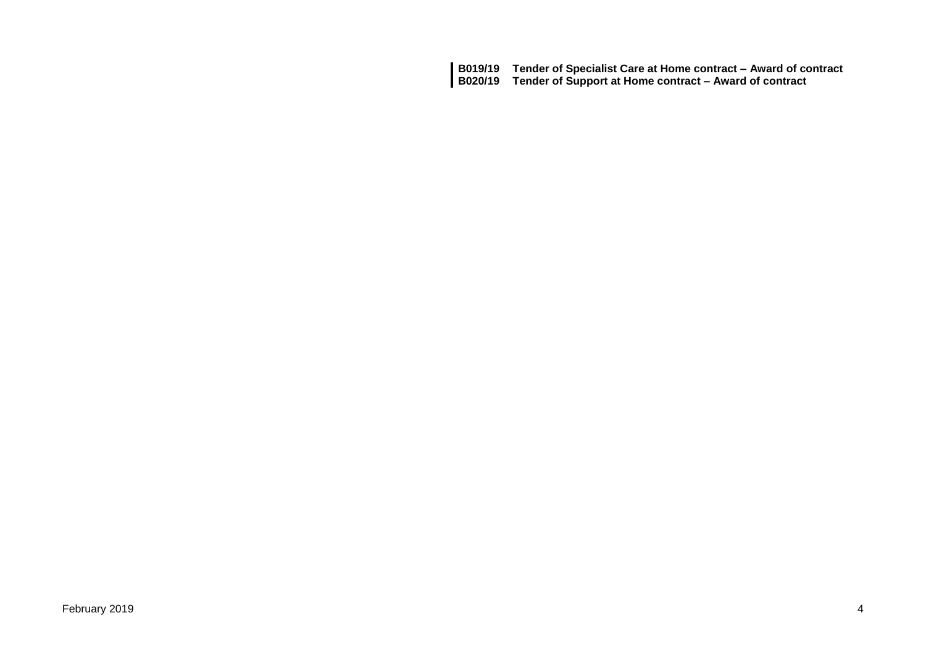|  | B019/19 Tender of Specialist Care at Home contract - Award of contract |
|--|------------------------------------------------------------------------|
|--|------------------------------------------------------------------------|

**B020/19 Tender of Support at Home contract – Award of contract**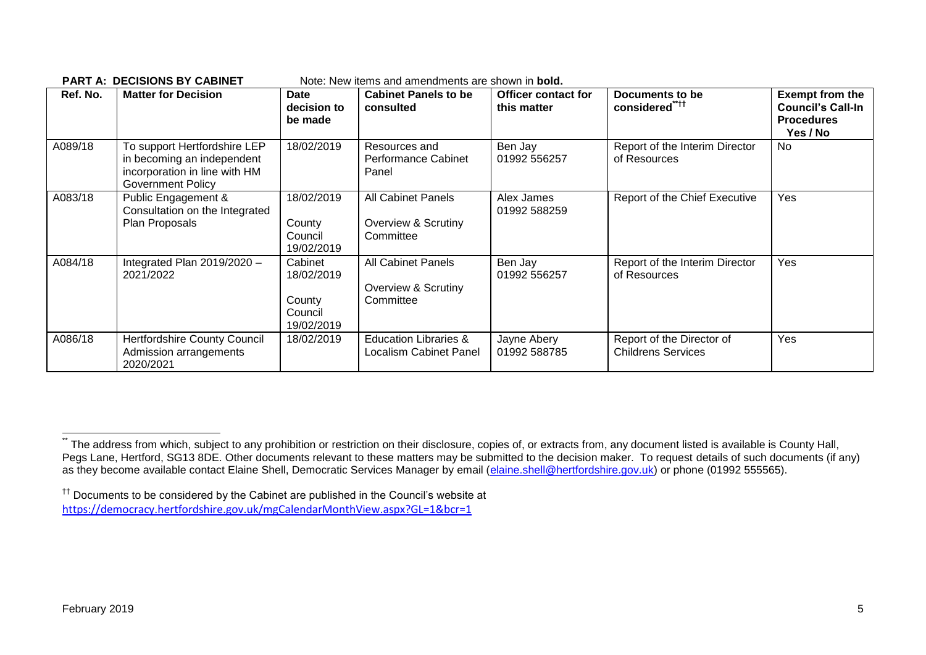| Ref. No. | <b>Matter for Decision</b>                                                                                              | Date<br>decision to<br>be made                           | <b>Cabinet Panels to be</b><br>consulted                      | <b>Officer contact for</b><br>this matter | Documents to be<br>considered****                      | <b>Exempt from the</b><br><b>Council's Call-In</b><br><b>Procedures</b><br>Yes / No |
|----------|-------------------------------------------------------------------------------------------------------------------------|----------------------------------------------------------|---------------------------------------------------------------|-------------------------------------------|--------------------------------------------------------|-------------------------------------------------------------------------------------|
| A089/18  | To support Hertfordshire LEP<br>in becoming an independent<br>incorporation in line with HM<br><b>Government Policy</b> | 18/02/2019                                               | Resources and<br>Performance Cabinet<br>Panel                 | Ben Jay<br>01992 556257                   | Report of the Interim Director<br>of Resources         | No                                                                                  |
| A083/18  | Public Engagement &<br>Consultation on the Integrated<br>Plan Proposals                                                 | 18/02/2019<br>County<br>Council<br>19/02/2019            | <b>All Cabinet Panels</b><br>Overview & Scrutiny<br>Committee | Alex James<br>01992 588259                | Report of the Chief Executive                          | Yes                                                                                 |
| A084/18  | Integrated Plan 2019/2020 -<br>2021/2022                                                                                | Cabinet<br>18/02/2019<br>County<br>Council<br>19/02/2019 | <b>All Cabinet Panels</b><br>Overview & Scrutiny<br>Committee | Ben Jay<br>01992 556257                   | Report of the Interim Director<br>of Resources         | Yes                                                                                 |
| A086/18  | <b>Hertfordshire County Council</b><br>Admission arrangements<br>2020/2021                                              | 18/02/2019                                               | Education Libraries &<br><b>Localism Cabinet Panel</b>        | Jayne Abery<br>01992 588785               | Report of the Director of<br><b>Childrens Services</b> | Yes                                                                                 |

#### **PART A: DECISIONS BY CARINET** Note: New items and amendments are shown in **bold**

1

The address from which, subject to any prohibition or restriction on their disclosure, copies of, or extracts from, any document listed is available is County Hall, Pegs Lane, Hertford, SG13 8DE. Other documents relevant to these matters may be submitted to the decision maker. To request details of such documents (if any) as they become available contact Elaine Shell, Democratic Services Manager by email [\(elaine.shell@hertfordshire.gov.uk\)](mailto:elaine.shell@hertfordshire.gov.uk) or phone (01992 555565).

<sup>††</sup> Documents to be considered by the Cabinet are published in the Council's website at <https://democracy.hertfordshire.gov.uk/mgCalendarMonthView.aspx?GL=1&bcr=1>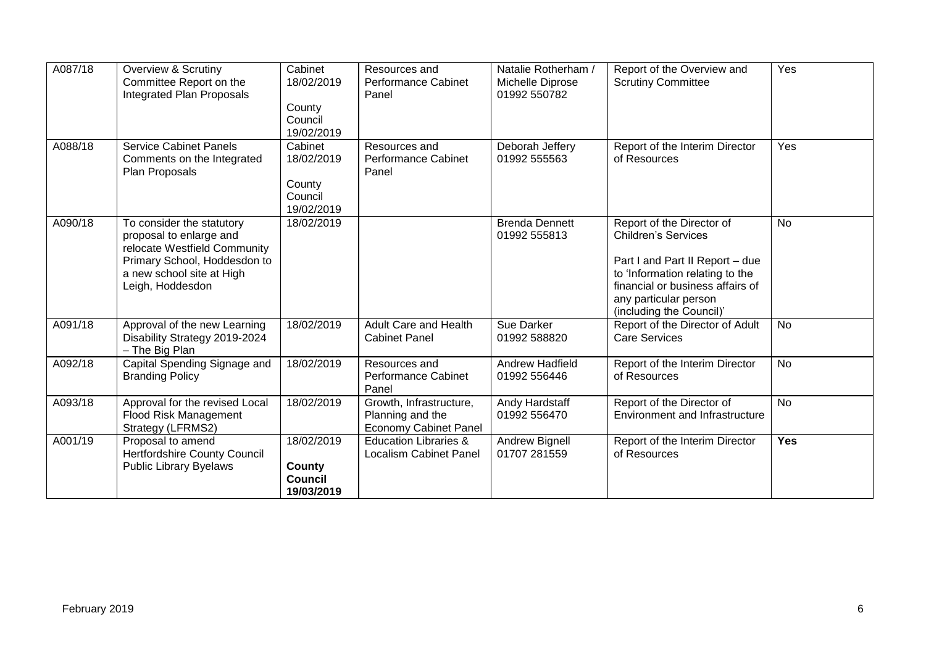| A087/18 | Overview & Scrutiny<br>Committee Report on the<br><b>Integrated Plan Proposals</b>                                                                                    | Cabinet<br>18/02/2019<br>County<br>Council<br>19/02/2019 | Resources and<br><b>Performance Cabinet</b><br>Panel                        | Natalie Rotherham /<br>Michelle Diprose<br>01992 550782 | Report of the Overview and<br><b>Scrutiny Committee</b>                                                                                                                                                                | Yes       |
|---------|-----------------------------------------------------------------------------------------------------------------------------------------------------------------------|----------------------------------------------------------|-----------------------------------------------------------------------------|---------------------------------------------------------|------------------------------------------------------------------------------------------------------------------------------------------------------------------------------------------------------------------------|-----------|
| A088/18 | <b>Service Cabinet Panels</b><br>Comments on the Integrated<br>Plan Proposals                                                                                         | Cabinet<br>18/02/2019<br>County<br>Council<br>19/02/2019 | Resources and<br><b>Performance Cabinet</b><br>Panel                        | Deborah Jeffery<br>01992 555563                         | Report of the Interim Director<br>of Resources                                                                                                                                                                         | Yes       |
| A090/18 | To consider the statutory<br>proposal to enlarge and<br>relocate Westfield Community<br>Primary School, Hoddesdon to<br>a new school site at High<br>Leigh, Hoddesdon | 18/02/2019                                               |                                                                             | <b>Brenda Dennett</b><br>01992 555813                   | Report of the Director of<br><b>Children's Services</b><br>Part I and Part II Report - due<br>to 'Information relating to the<br>financial or business affairs of<br>any particular person<br>(including the Council)' | <b>No</b> |
| A091/18 | Approval of the new Learning<br>Disability Strategy 2019-2024<br>- The Big Plan                                                                                       | 18/02/2019                                               | <b>Adult Care and Health</b><br><b>Cabinet Panel</b>                        | Sue Darker<br>01992 588820                              | Report of the Director of Adult<br><b>Care Services</b>                                                                                                                                                                | <b>No</b> |
| A092/18 | Capital Spending Signage and<br><b>Branding Policy</b>                                                                                                                | 18/02/2019                                               | Resources and<br><b>Performance Cabinet</b><br>Panel                        | <b>Andrew Hadfield</b><br>01992 556446                  | Report of the Interim Director<br>of Resources                                                                                                                                                                         | <b>No</b> |
| A093/18 | Approval for the revised Local<br>Flood Risk Management<br>Strategy (LFRMS2)                                                                                          | 18/02/2019                                               | Growth, Infrastructure,<br>Planning and the<br><b>Economy Cabinet Panel</b> | Andy Hardstaff<br>01992 556470                          | Report of the Director of<br><b>Environment and Infrastructure</b>                                                                                                                                                     | <b>No</b> |
| A001/19 | Proposal to amend<br><b>Hertfordshire County Council</b><br><b>Public Library Byelaws</b>                                                                             | 18/02/2019<br>County<br><b>Council</b><br>19/03/2019     | <b>Education Libraries &amp;</b><br><b>Localism Cabinet Panel</b>           | <b>Andrew Bignell</b><br>01707 281559                   | Report of the Interim Director<br>of Resources                                                                                                                                                                         | Yes       |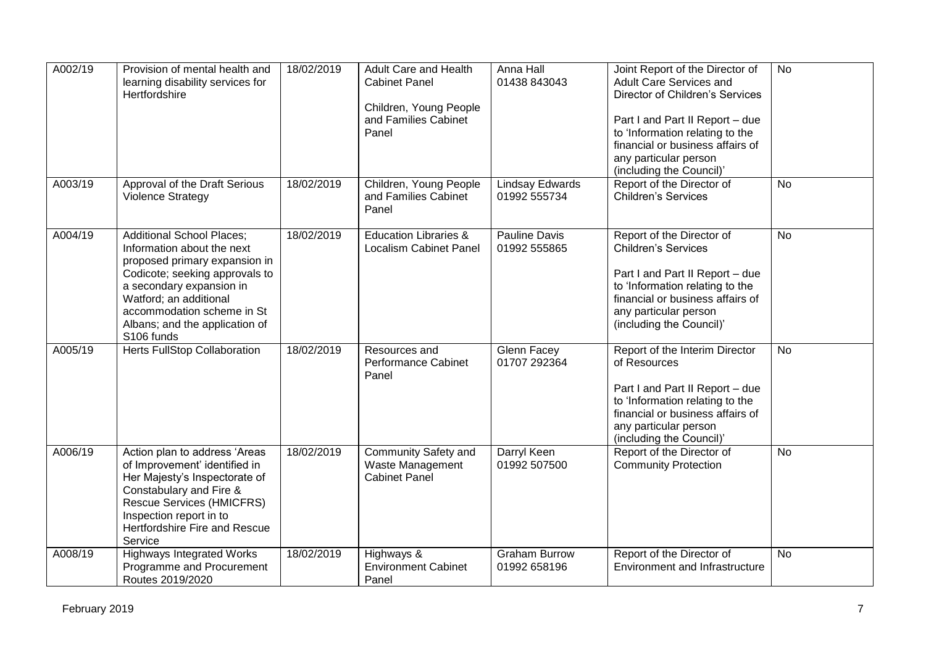| A002/19 | Provision of mental health and<br>learning disability services for<br>Hertfordshire                                                                                                                                                                                   | 18/02/2019 | <b>Adult Care and Health</b><br><b>Cabinet Panel</b><br>Children, Young People<br>and Families Cabinet<br>Panel | Anna Hall<br>01438 843043              | Joint Report of the Director of<br>Adult Care Services and<br>Director of Children's Services<br>Part I and Part II Report - due<br>to 'Information relating to the<br>financial or business affairs of<br>any particular person<br>(including the Council)' | <b>No</b> |
|---------|-----------------------------------------------------------------------------------------------------------------------------------------------------------------------------------------------------------------------------------------------------------------------|------------|-----------------------------------------------------------------------------------------------------------------|----------------------------------------|--------------------------------------------------------------------------------------------------------------------------------------------------------------------------------------------------------------------------------------------------------------|-----------|
| A003/19 | Approval of the Draft Serious<br><b>Violence Strategy</b>                                                                                                                                                                                                             | 18/02/2019 | Children, Young People<br>and Families Cabinet<br>Panel                                                         | <b>Lindsay Edwards</b><br>01992 555734 | Report of the Director of<br><b>Children's Services</b>                                                                                                                                                                                                      | <b>No</b> |
| A004/19 | <b>Additional School Places;</b><br>Information about the next<br>proposed primary expansion in<br>Codicote; seeking approvals to<br>a secondary expansion in<br>Watford; an additional<br>accommodation scheme in St<br>Albans; and the application of<br>S106 funds | 18/02/2019 | <b>Education Libraries &amp;</b><br><b>Localism Cabinet Panel</b>                                               | <b>Pauline Davis</b><br>01992 555865   | Report of the Director of<br><b>Children's Services</b><br>Part I and Part II Report - due<br>to 'Information relating to the<br>financial or business affairs of<br>any particular person<br>(including the Council)'                                       | <b>No</b> |
| A005/19 | <b>Herts FullStop Collaboration</b>                                                                                                                                                                                                                                   | 18/02/2019 | Resources and<br><b>Performance Cabinet</b><br>Panel                                                            | Glenn Facey<br>01707 292364            | Report of the Interim Director<br>of Resources<br>Part I and Part II Report - due<br>to 'Information relating to the<br>financial or business affairs of<br>any particular person<br>(including the Council)'                                                | <b>No</b> |
| A006/19 | Action plan to address 'Areas<br>of Improvement' identified in<br>Her Majesty's Inspectorate of<br>Constabulary and Fire &<br><b>Rescue Services (HMICFRS)</b><br>Inspection report in to<br>Hertfordshire Fire and Rescue<br>Service                                 | 18/02/2019 | <b>Community Safety and</b><br>Waste Management<br><b>Cabinet Panel</b>                                         | Darryl Keen<br>01992 507500            | Report of the Director of<br><b>Community Protection</b>                                                                                                                                                                                                     | <b>No</b> |
| A008/19 | <b>Highways Integrated Works</b><br>Programme and Procurement<br>Routes 2019/2020                                                                                                                                                                                     | 18/02/2019 | Highways &<br><b>Environment Cabinet</b><br>Panel                                                               | <b>Graham Burrow</b><br>01992 658196   | Report of the Director of<br><b>Environment and Infrastructure</b>                                                                                                                                                                                           | <b>No</b> |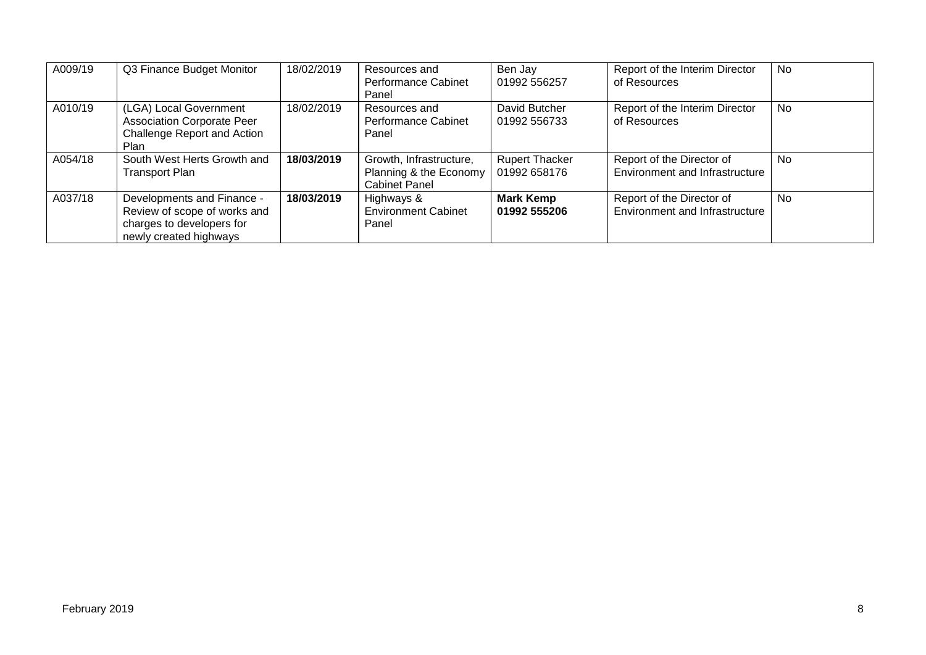| A009/19 | Q3 Finance Budget Monitor                                                                                         | 18/02/2019 | Resources and<br><b>Performance Cabinet</b><br>Panel                      | Ben Jay<br>01992 556257               | Report of the Interim Director<br>of Resources                     | No |
|---------|-------------------------------------------------------------------------------------------------------------------|------------|---------------------------------------------------------------------------|---------------------------------------|--------------------------------------------------------------------|----|
| A010/19 | (LGA) Local Government<br><b>Association Corporate Peer</b><br>Challenge Report and Action<br><b>Plan</b>         | 18/02/2019 | Resources and<br><b>Performance Cabinet</b><br>Panel                      | David Butcher<br>01992 556733         | Report of the Interim Director<br>of Resources                     | No |
| A054/18 | South West Herts Growth and<br>Transport Plan                                                                     | 18/03/2019 | Growth, Infrastructure,<br>Planning & the Economy<br><b>Cabinet Panel</b> | <b>Rupert Thacker</b><br>01992 658176 | Report of the Director of<br><b>Environment and Infrastructure</b> | No |
| A037/18 | Developments and Finance -<br>Review of scope of works and<br>charges to developers for<br>newly created highways | 18/03/2019 | Highways &<br><b>Environment Cabinet</b><br>Panel                         | <b>Mark Kemp</b><br>01992 555206      | Report of the Director of<br><b>Environment and Infrastructure</b> | No |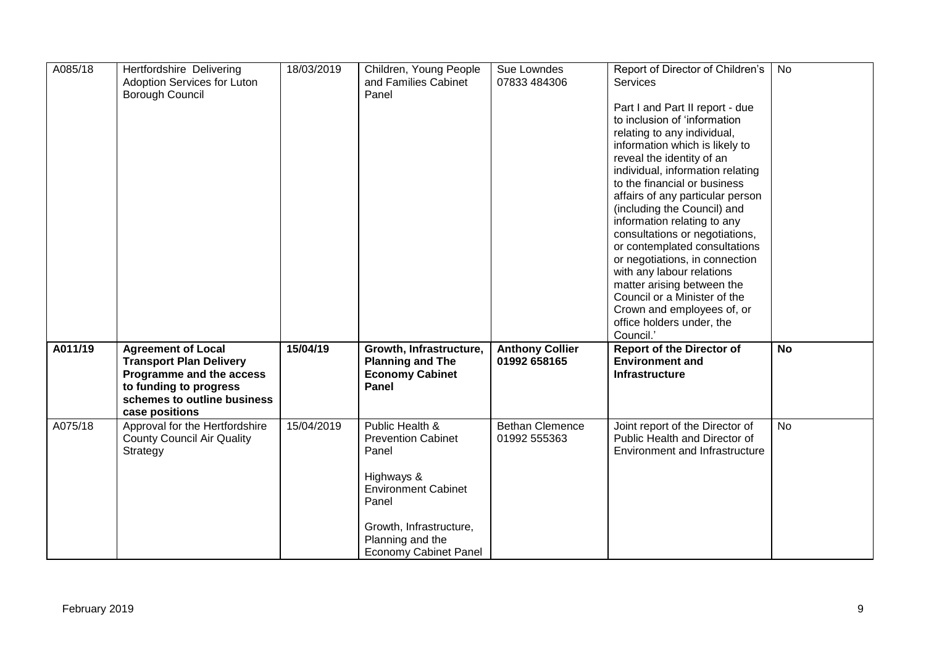| A085/18 | Hertfordshire Delivering<br>Adoption Services for Luton<br>Borough Council                                                                                         | 18/03/2019 | Children, Young People<br>and Families Cabinet<br>Panel                                                                                                                                   | Sue Lowndes<br>07833 484306            | Report of Director of Children's<br><b>Services</b><br>Part I and Part II report - due<br>to inclusion of 'information<br>relating to any individual,<br>information which is likely to<br>reveal the identity of an<br>individual, information relating<br>to the financial or business<br>affairs of any particular person<br>(including the Council) and<br>information relating to any<br>consultations or negotiations,<br>or contemplated consultations<br>or negotiations, in connection<br>with any labour relations<br>matter arising between the<br>Council or a Minister of the<br>Crown and employees of, or<br>office holders under, the<br>Council.' | No        |
|---------|--------------------------------------------------------------------------------------------------------------------------------------------------------------------|------------|-------------------------------------------------------------------------------------------------------------------------------------------------------------------------------------------|----------------------------------------|--------------------------------------------------------------------------------------------------------------------------------------------------------------------------------------------------------------------------------------------------------------------------------------------------------------------------------------------------------------------------------------------------------------------------------------------------------------------------------------------------------------------------------------------------------------------------------------------------------------------------------------------------------------------|-----------|
| A011/19 | <b>Agreement of Local</b><br><b>Transport Plan Delivery</b><br>Programme and the access<br>to funding to progress<br>schemes to outline business<br>case positions | 15/04/19   | Growth, Infrastructure,<br><b>Planning and The</b><br><b>Economy Cabinet</b><br>Panel                                                                                                     | <b>Anthony Collier</b><br>01992 658165 | <b>Report of the Director of</b><br><b>Environment and</b><br><b>Infrastructure</b>                                                                                                                                                                                                                                                                                                                                                                                                                                                                                                                                                                                | <b>No</b> |
| A075/18 | Approval for the Hertfordshire<br><b>County Council Air Quality</b><br>Strategy                                                                                    | 15/04/2019 | Public Health &<br><b>Prevention Cabinet</b><br>Panel<br>Highways &<br><b>Environment Cabinet</b><br>Panel<br>Growth, Infrastructure,<br>Planning and the<br><b>Economy Cabinet Panel</b> | <b>Bethan Clemence</b><br>01992 555363 | Joint report of the Director of<br>Public Health and Director of<br>Environment and Infrastructure                                                                                                                                                                                                                                                                                                                                                                                                                                                                                                                                                                 | <b>No</b> |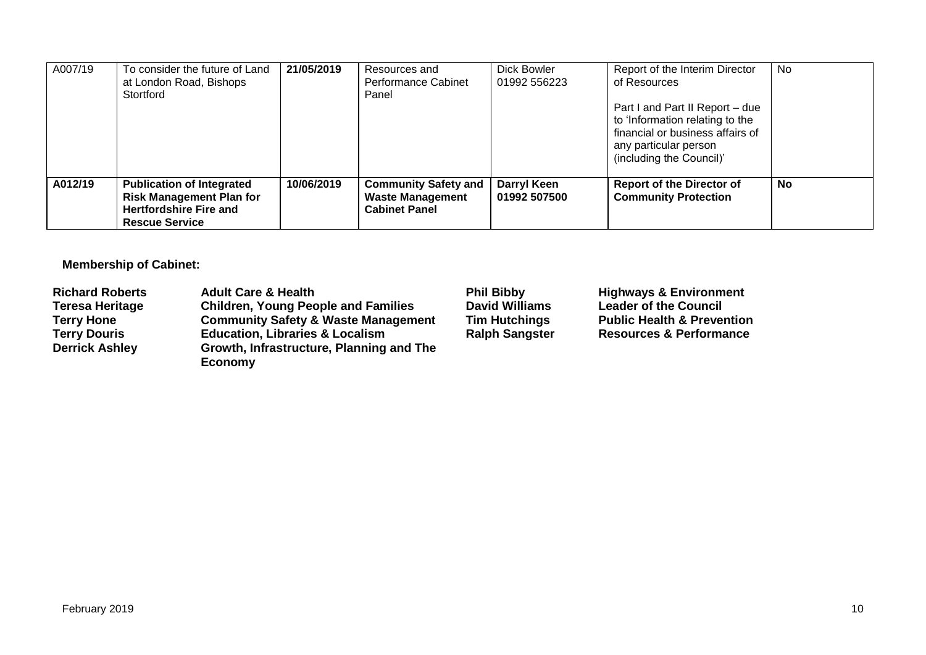| A007/19 | To consider the future of Land<br>at London Road, Bishops<br>Stortford                                                        | 21/05/2019 | Resources and<br><b>Performance Cabinet</b><br>Panel                           | Dick Bowler<br>01992 556223 | Report of the Interim Director<br>of Resources<br>Part I and Part II Report - due<br>to 'Information relating to the<br>financial or business affairs of<br>any particular person<br>(including the Council)' | No |
|---------|-------------------------------------------------------------------------------------------------------------------------------|------------|--------------------------------------------------------------------------------|-----------------------------|---------------------------------------------------------------------------------------------------------------------------------------------------------------------------------------------------------------|----|
| A012/19 | <b>Publication of Integrated</b><br><b>Risk Management Plan for</b><br><b>Hertfordshire Fire and</b><br><b>Rescue Service</b> | 10/06/2019 | <b>Community Safety and</b><br><b>Waste Management</b><br><b>Cabinet Panel</b> | Darryl Keen<br>01992 507500 | <b>Report of the Director of</b><br><b>Community Protection</b>                                                                                                                                               | No |

**Membership of Cabinet:** 

Richard Roberts **Adult Care & Health Phil Bibby** Phil Bibby Highways & Environment<br>
Teresa Heritage Children, Young People and Families David Williams Leader of the Council **Teresa Heritage Children, Young People and Families David Williams Leader of the Council Terry Hone Community Safety & Waste Management Tim Hutchings** Public Health & Prevention<br> **Terry Douris Education, Libraries & Localism** Ralph Sangster Resources & Performance **Terry Douris <b>Education, Libraries & Localism**<br> **Derrick Ashley** Growth, Infrastructure, Planning **Growth, Infrastructure, Planning and The Economy**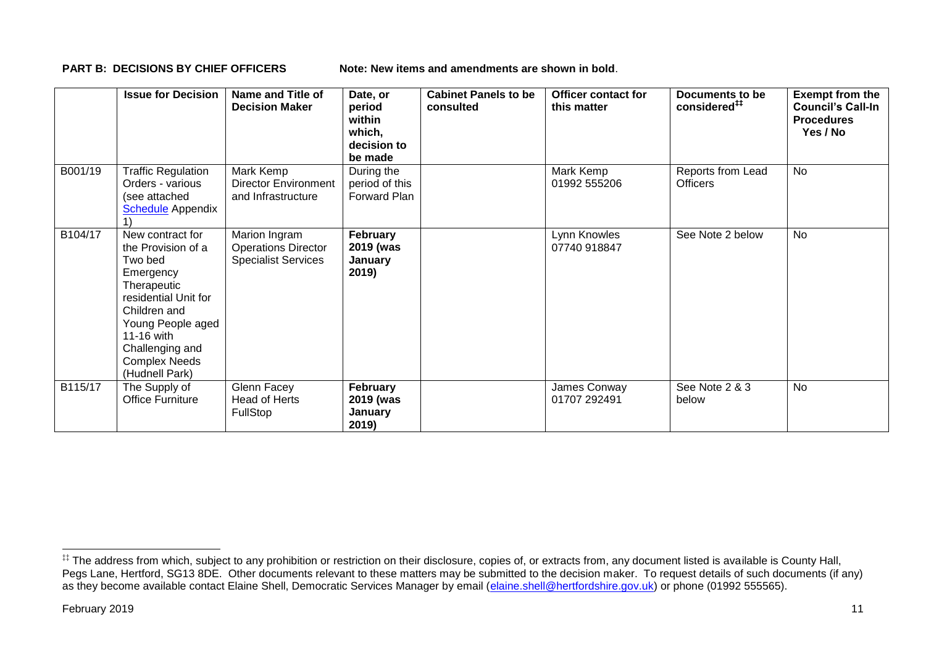**PART B: DECISIONS BY CHIEF OFFICERS Note: New items and amendments are shown in bold.** 

|         | <b>Issue for Decision</b>                                                                                                                                                                                             | Name and Title of<br><b>Decision Maker</b>                                | Date, or<br>period<br>within<br>which,<br>decision to<br>be made | <b>Cabinet Panels to be</b><br>consulted | <b>Officer contact for</b><br>this matter | Documents to be<br>considered <sup>##</sup> | <b>Exempt from the</b><br><b>Council's Call-In</b><br><b>Procedures</b><br>Yes / No |
|---------|-----------------------------------------------------------------------------------------------------------------------------------------------------------------------------------------------------------------------|---------------------------------------------------------------------------|------------------------------------------------------------------|------------------------------------------|-------------------------------------------|---------------------------------------------|-------------------------------------------------------------------------------------|
| B001/19 | Traffic Regulation<br>Orders - various<br>(see attached<br><b>Schedule</b> Appendix                                                                                                                                   | Mark Kemp<br><b>Director Environment</b><br>and Infrastructure            | During the<br>period of this<br>Forward Plan                     |                                          | Mark Kemp<br>01992 555206                 | Reports from Lead<br><b>Officers</b>        | No                                                                                  |
| B104/17 | New contract for<br>the Provision of a<br>Two bed<br>Emergency<br>Therapeutic<br>residential Unit for<br>Children and<br>Young People aged<br>11-16 with<br>Challenging and<br><b>Complex Needs</b><br>(Hudnell Park) | Marion Ingram<br><b>Operations Director</b><br><b>Specialist Services</b> | February<br>2019 (was<br>January<br>2019)                        |                                          | Lynn Knowles<br>07740 918847              | See Note 2 below                            | <b>No</b>                                                                           |
| B115/17 | The Supply of<br><b>Office Furniture</b>                                                                                                                                                                              | Glenn Facey<br>Head of Herts<br><b>FullStop</b>                           | February<br>2019 (was<br>January<br>2019)                        |                                          | James Conway<br>01707 292491              | See Note 2 & 3<br>below                     | <b>No</b>                                                                           |

1

<sup>‡‡</sup> The address from which, subject to any prohibition or restriction on their disclosure, copies of, or extracts from, any document listed is available is County Hall, Pegs Lane, Hertford, SG13 8DE. Other documents relevant to these matters may be submitted to the decision maker. To request details of such documents (if any) as they become available contact Elaine Shell, Democratic Services Manager by email [\(elaine.shell@hertfordshire.gov.uk\)](mailto:elaine.shell@hertfordshire.gov.uk) or phone (01992 55565).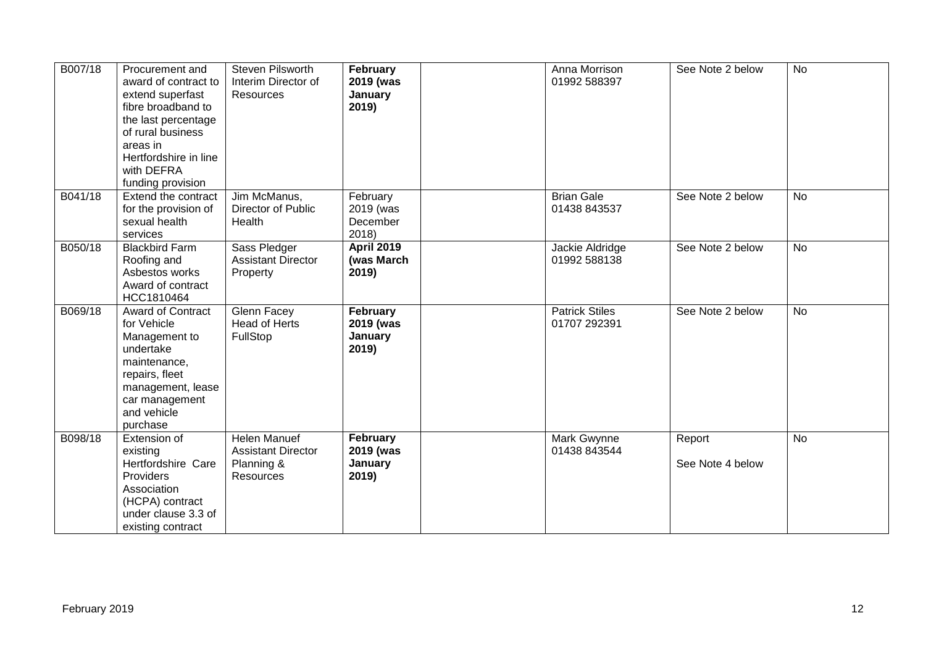| B007/18 | Procurement and<br>award of contract to<br>extend superfast<br>fibre broadband to<br>the last percentage<br>of rural business<br>areas in<br>Hertfordshire in line<br>with DEFRA<br>funding provision | Steven Pilsworth<br>Interim Director of<br>Resources                               | February<br>2019 (was<br>January<br>2019)  | Anna Morrison<br>01992 588397         | See Note 2 below           | $\overline{N}$ |
|---------|-------------------------------------------------------------------------------------------------------------------------------------------------------------------------------------------------------|------------------------------------------------------------------------------------|--------------------------------------------|---------------------------------------|----------------------------|----------------|
| B041/18 | Extend the contract<br>for the provision of<br>sexual health<br>services                                                                                                                              | Jim McManus,<br>Director of Public<br>Health                                       | February<br>2019 (was<br>December<br>2018) | <b>Brian Gale</b><br>01438 843537     | See Note 2 below           | <b>No</b>      |
| B050/18 | <b>Blackbird Farm</b><br>Roofing and<br>Asbestos works<br>Award of contract<br>HCC1810464                                                                                                             | Sass Pledger<br><b>Assistant Director</b><br>Property                              | <b>April 2019</b><br>(was March<br>2019)   | Jackie Aldridge<br>01992 588138       | See Note 2 below           | <b>No</b>      |
| B069/18 | Award of Contract<br>for Vehicle<br>Management to<br>undertake<br>maintenance,<br>repairs, fleet<br>management, lease<br>car management<br>and vehicle<br>purchase                                    | <b>Glenn Facey</b><br><b>Head of Herts</b><br>FullStop                             | February<br>2019 (was<br>January<br>2019)  | <b>Patrick Stiles</b><br>01707 292391 | See Note 2 below           | $\overline{N}$ |
| B098/18 | Extension of<br>existing<br>Hertfordshire Care<br>Providers<br>Association<br>(HCPA) contract<br>under clause 3.3 of<br>existing contract                                                             | <b>Helen Manuef</b><br><b>Assistant Director</b><br>Planning &<br><b>Resources</b> | February<br>2019 (was<br>January<br>2019)  | <b>Mark Gwynne</b><br>01438 843544    | Report<br>See Note 4 below | <b>No</b>      |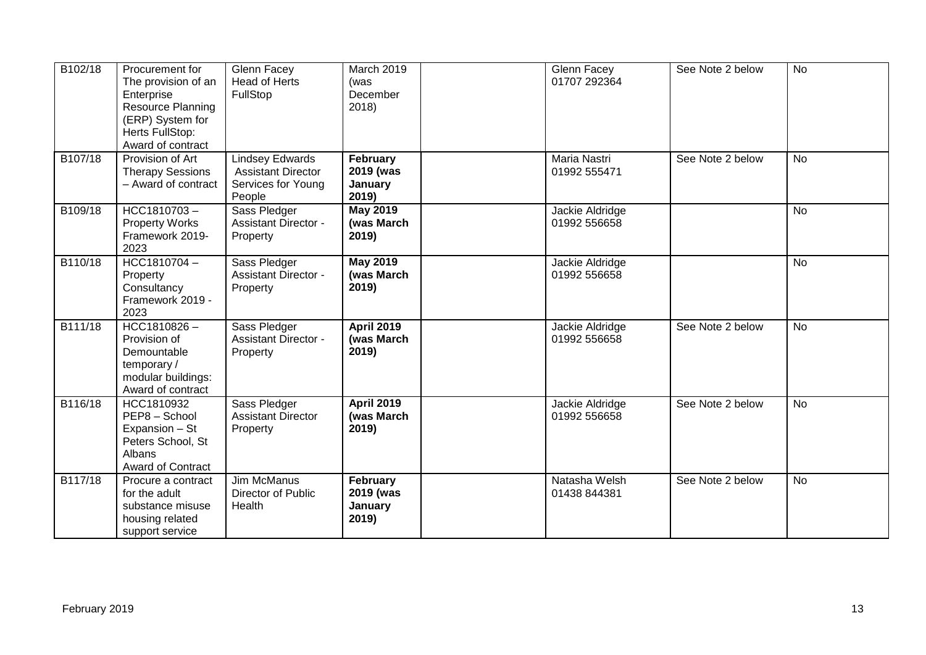| B102/18 | Procurement for<br>The provision of an<br>Enterprise<br><b>Resource Planning</b><br>(ERP) System for<br>Herts FullStop:<br>Award of contract | <b>Glenn Facey</b><br><b>Head of Herts</b><br>FullStop                              | March 2019<br>(was<br>December<br>2018)   | Glenn Facey<br>01707 292364     | See Note 2 below | <b>No</b> |
|---------|----------------------------------------------------------------------------------------------------------------------------------------------|-------------------------------------------------------------------------------------|-------------------------------------------|---------------------------------|------------------|-----------|
| B107/18 | Provision of Art<br><b>Therapy Sessions</b><br>- Award of contract                                                                           | <b>Lindsey Edwards</b><br><b>Assistant Director</b><br>Services for Young<br>People | February<br>2019 (was<br>January<br>2019) | Maria Nastri<br>01992 555471    | See Note 2 below | <b>No</b> |
| B109/18 | HCC1810703-<br><b>Property Works</b><br>Framework 2019-<br>2023                                                                              | Sass Pledger<br><b>Assistant Director -</b><br>Property                             | <b>May 2019</b><br>(was March<br>2019)    | Jackie Aldridge<br>01992 556658 |                  | <b>No</b> |
| B110/18 | HCC1810704-<br>Property<br>Consultancy<br>Framework 2019 -<br>2023                                                                           | Sass Pledger<br><b>Assistant Director -</b><br>Property                             | <b>May 2019</b><br>(was March<br>2019)    | Jackie Aldridge<br>01992 556658 |                  | No        |
| B111/18 | HCC1810826-<br>Provision of<br>Demountable<br>temporary/<br>modular buildings:<br>Award of contract                                          | Sass Pledger<br><b>Assistant Director -</b><br>Property                             | <b>April 2019</b><br>(was March<br>2019)  | Jackie Aldridge<br>01992 556658 | See Note 2 below | <b>No</b> |
| B116/18 | HCC1810932<br>PEP8 - School<br>Expansion - St<br>Peters School, St<br><b>Albans</b><br>Award of Contract                                     | Sass Pledger<br><b>Assistant Director</b><br>Property                               | <b>April 2019</b><br>(was March<br>2019)  | Jackie Aldridge<br>01992 556658 | See Note 2 below | <b>No</b> |
| B117/18 | Procure a contract<br>for the adult<br>substance misuse<br>housing related<br>support service                                                | Jim McManus<br>Director of Public<br>Health                                         | February<br>2019 (was<br>January<br>2019) | Natasha Welsh<br>01438 844381   | See Note 2 below | <b>No</b> |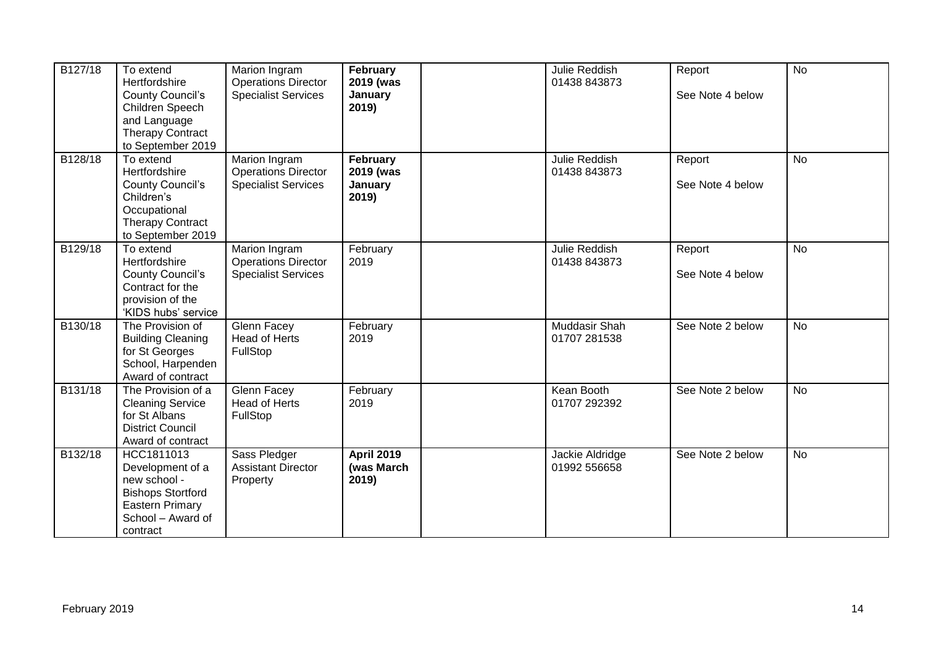| B127/18 | To extend<br>Hertfordshire<br><b>County Council's</b><br>Children Speech<br>and Language<br><b>Therapy Contract</b><br>to September 2019 | Marion Ingram<br><b>Operations Director</b><br><b>Specialist Services</b> | February<br>2019 (was<br>January<br>2019) | Julie Reddish<br>01438 843873        | Report<br>See Note 4 below | <b>No</b>      |
|---------|------------------------------------------------------------------------------------------------------------------------------------------|---------------------------------------------------------------------------|-------------------------------------------|--------------------------------------|----------------------------|----------------|
| B128/18 | To extend<br>Hertfordshire<br><b>County Council's</b><br>Children's<br>Occupational<br><b>Therapy Contract</b><br>to September 2019      | Marion Ingram<br><b>Operations Director</b><br><b>Specialist Services</b> | February<br>2019 (was<br>January<br>2019) | Julie Reddish<br>01438 843873        | Report<br>See Note 4 below | $\overline{N}$ |
| B129/18 | To extend<br>Hertfordshire<br><b>County Council's</b><br>Contract for the<br>provision of the<br>'KIDS hubs' service                     | Marion Ingram<br><b>Operations Director</b><br><b>Specialist Services</b> | February<br>2019                          | Julie Reddish<br>01438 843873        | Report<br>See Note 4 below | <b>No</b>      |
| B130/18 | The Provision of<br><b>Building Cleaning</b><br>for St Georges<br>School, Harpenden<br>Award of contract                                 | <b>Glenn Facey</b><br><b>Head of Herts</b><br>FullStop                    | February<br>2019                          | <b>Muddasir Shah</b><br>01707 281538 | See Note 2 below           | <b>No</b>      |
| B131/18 | The Provision of a<br><b>Cleaning Service</b><br>for St Albans<br><b>District Council</b><br>Award of contract                           | <b>Glenn Facey</b><br>Head of Herts<br>FullStop                           | February<br>2019                          | Kean Booth<br>01707 292392           | See Note 2 below           | <b>No</b>      |
| B132/18 | HCC1811013<br>Development of a<br>new school -<br><b>Bishops Stortford</b><br><b>Eastern Primary</b><br>School - Award of<br>contract    | Sass Pledger<br><b>Assistant Director</b><br>Property                     | <b>April 2019</b><br>(was March<br>2019)  | Jackie Aldridge<br>01992 556658      | See Note 2 below           | <b>No</b>      |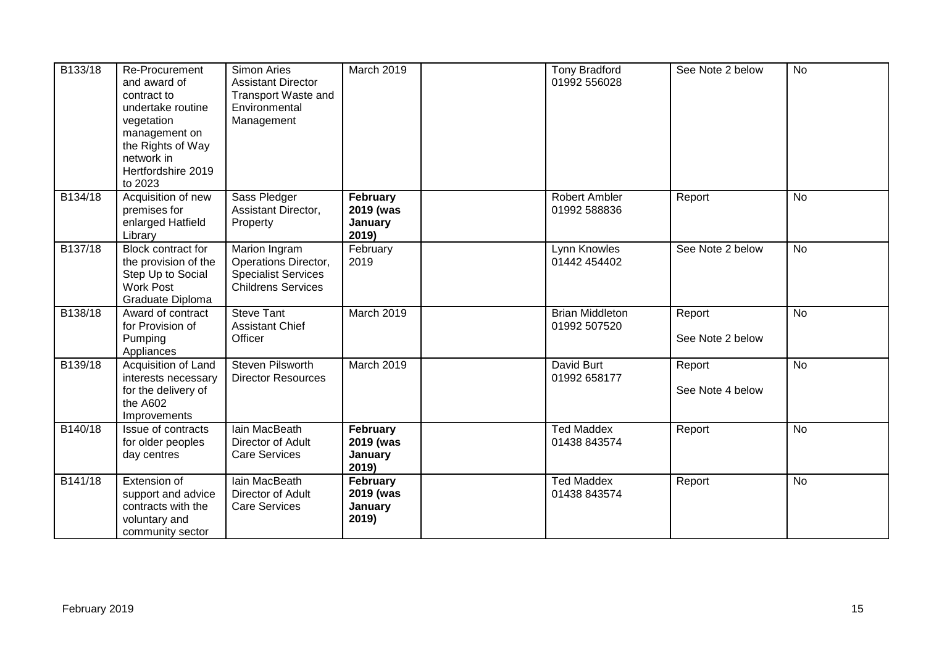| B133/18 | Re-Procurement<br>and award of<br>contract to<br>undertake routine<br>vegetation<br>management on<br>the Rights of Way<br>network in<br>Hertfordshire 2019<br>to 2023 | <b>Simon Aries</b><br><b>Assistant Director</b><br><b>Transport Waste and</b><br>Environmental<br>Management | March 2019                                | <b>Tony Bradford</b><br>01992 556028   | See Note 2 below           | <b>No</b> |
|---------|-----------------------------------------------------------------------------------------------------------------------------------------------------------------------|--------------------------------------------------------------------------------------------------------------|-------------------------------------------|----------------------------------------|----------------------------|-----------|
| B134/18 | Acquisition of new<br>premises for<br>enlarged Hatfield<br>Library                                                                                                    | Sass Pledger<br>Assistant Director,<br>Property                                                              | February<br>2019 (was<br>January<br>2019) | <b>Robert Ambler</b><br>01992 588836   | Report                     | No        |
| B137/18 | <b>Block contract for</b><br>the provision of the<br>Step Up to Social<br><b>Work Post</b><br>Graduate Diploma                                                        | Marion Ingram<br>Operations Director,<br><b>Specialist Services</b><br><b>Childrens Services</b>             | February<br>2019                          | Lynn Knowles<br>01442 454402           | See Note 2 below           | <b>No</b> |
| B138/18 | Award of contract<br>for Provision of<br>Pumping<br>Appliances                                                                                                        | <b>Steve Tant</b><br><b>Assistant Chief</b><br>Officer                                                       | <b>March 2019</b>                         | <b>Brian Middleton</b><br>01992 507520 | Report<br>See Note 2 below | <b>No</b> |
| B139/18 | Acquisition of Land<br>interests necessary<br>for the delivery of<br>the A602<br>Improvements                                                                         | Steven Pilsworth<br><b>Director Resources</b>                                                                | <b>March 2019</b>                         | David Burt<br>01992 658177             | Report<br>See Note 4 below | <b>No</b> |
| B140/18 | Issue of contracts<br>for older peoples<br>day centres                                                                                                                | lain MacBeath<br>Director of Adult<br><b>Care Services</b>                                                   | February<br>2019 (was<br>January<br>2019) | <b>Ted Maddex</b><br>01438 843574      | Report                     | <b>No</b> |
| B141/18 | Extension of<br>support and advice<br>contracts with the<br>voluntary and<br>community sector                                                                         | lain MacBeath<br>Director of Adult<br><b>Care Services</b>                                                   | February<br>2019 (was<br>January<br>2019) | <b>Ted Maddex</b><br>01438 843574      | Report                     | <b>No</b> |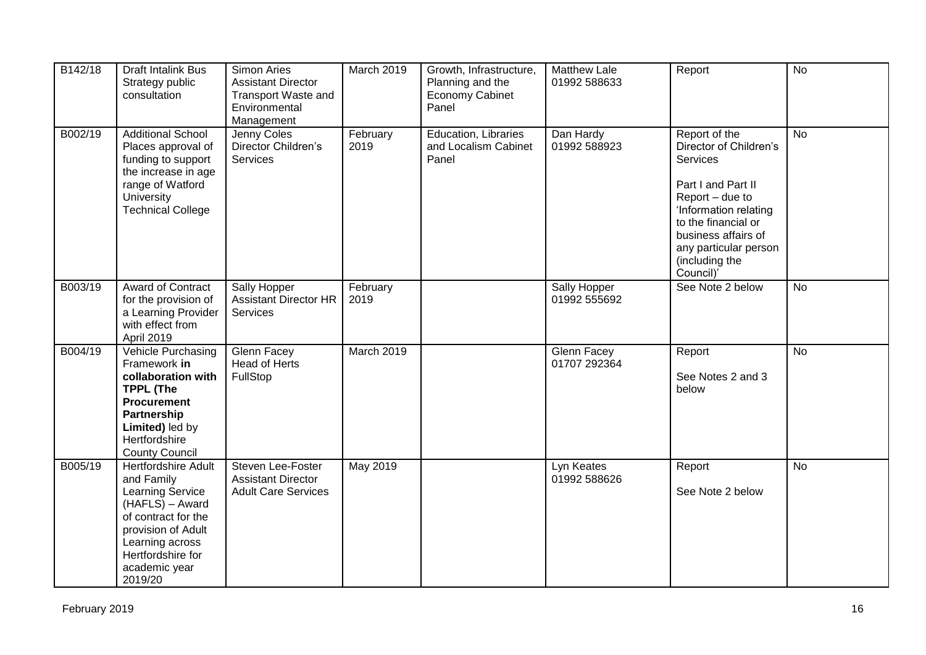| B142/18 | Draft Intalink Bus<br>Strategy public<br>consultation                                                                                                                                                   | Simon Aries<br><b>Assistant Director</b><br><b>Transport Waste and</b><br>Environmental<br>Management | March 2019       | Growth, Infrastructure,<br>Planning and the<br>Economy Cabinet<br>Panel | <b>Matthew Lale</b><br>01992 588633 | Report                                                                                                                                                                                                                             | <b>No</b> |
|---------|---------------------------------------------------------------------------------------------------------------------------------------------------------------------------------------------------------|-------------------------------------------------------------------------------------------------------|------------------|-------------------------------------------------------------------------|-------------------------------------|------------------------------------------------------------------------------------------------------------------------------------------------------------------------------------------------------------------------------------|-----------|
| B002/19 | <b>Additional School</b><br>Places approval of<br>funding to support<br>the increase in age<br>range of Watford<br>University<br><b>Technical College</b>                                               | Jenny Coles<br>Director Children's<br><b>Services</b>                                                 | February<br>2019 | Education, Libraries<br>and Localism Cabinet<br>Panel                   | Dan Hardy<br>01992 588923           | Report of the<br>Director of Children's<br><b>Services</b><br>Part I and Part II<br>Report - due to<br>'Information relating<br>to the financial or<br>business affairs of<br>any particular person<br>(including the<br>Council)' | No        |
| B003/19 | Award of Contract<br>for the provision of<br>a Learning Provider<br>with effect from<br>April 2019                                                                                                      | Sally Hopper<br><b>Assistant Director HR</b><br>Services                                              | February<br>2019 |                                                                         | Sally Hopper<br>01992 555692        | See Note 2 below                                                                                                                                                                                                                   | <b>No</b> |
| B004/19 | Vehicle Purchasing<br>Framework in<br>collaboration with<br><b>TPPL (The</b><br><b>Procurement</b><br>Partnership<br>Limited) led by<br>Hertfordshire<br><b>County Council</b>                          | Glenn Facey<br>Head of Herts<br>FullStop                                                              | March 2019       |                                                                         | Glenn Facey<br>01707 292364         | Report<br>See Notes 2 and 3<br>below                                                                                                                                                                                               | <b>No</b> |
| B005/19 | <b>Hertfordshire Adult</b><br>and Family<br><b>Learning Service</b><br>(HAFLS) - Award<br>of contract for the<br>provision of Adult<br>Learning across<br>Hertfordshire for<br>academic year<br>2019/20 | Steven Lee-Foster<br><b>Assistant Director</b><br><b>Adult Care Services</b>                          | May 2019         |                                                                         | Lyn Keates<br>01992 588626          | Report<br>See Note 2 below                                                                                                                                                                                                         | <b>No</b> |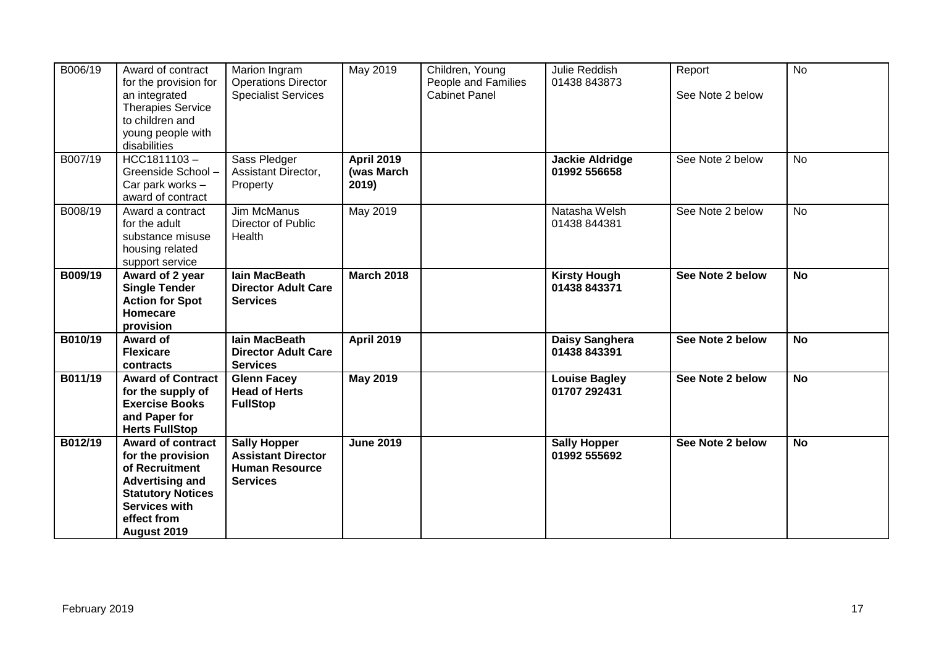| B006/19 | Award of contract<br>for the provision for<br>an integrated<br><b>Therapies Service</b><br>to children and<br>young people with<br>disabilities                      | Marion Ingram<br><b>Operations Director</b><br><b>Specialist Services</b>                    | May 2019                                 | Children, Young<br>People and Families<br><b>Cabinet Panel</b> | Julie Reddish<br>01438 843873          | Report<br>See Note 2 below | <b>No</b> |
|---------|----------------------------------------------------------------------------------------------------------------------------------------------------------------------|----------------------------------------------------------------------------------------------|------------------------------------------|----------------------------------------------------------------|----------------------------------------|----------------------------|-----------|
| B007/19 | HCC1811103-<br>Greenside School -<br>Car park works -<br>award of contract                                                                                           | Sass Pledger<br>Assistant Director,<br>Property                                              | <b>April 2019</b><br>(was March<br>2019) |                                                                | <b>Jackie Aldridge</b><br>01992 556658 | See Note 2 below           | <b>No</b> |
| B008/19 | Award a contract<br>for the adult<br>substance misuse<br>housing related<br>support service                                                                          | Jim McManus<br>Director of Public<br>Health                                                  | May 2019                                 |                                                                | Natasha Welsh<br>01438 844381          | See Note 2 below           | <b>No</b> |
| B009/19 | Award of 2 year<br><b>Single Tender</b><br><b>Action for Spot</b><br>Homecare<br>provision                                                                           | lain MacBeath<br><b>Director Adult Care</b><br><b>Services</b>                               | <b>March 2018</b>                        |                                                                | <b>Kirsty Hough</b><br>01438 843371    | See Note 2 below           | <b>No</b> |
| B010/19 | Award of<br><b>Flexicare</b><br>contracts                                                                                                                            | <b>lain MacBeath</b><br><b>Director Adult Care</b><br><b>Services</b>                        | <b>April 2019</b>                        |                                                                | Daisy Sanghera<br>01438 843391         | See Note 2 below           | <b>No</b> |
| B011/19 | <b>Award of Contract</b><br>for the supply of<br><b>Exercise Books</b><br>and Paper for<br><b>Herts FullStop</b>                                                     | <b>Glenn Facey</b><br><b>Head of Herts</b><br><b>FullStop</b>                                | <b>May 2019</b>                          |                                                                | <b>Louise Bagley</b><br>01707 292431   | See Note 2 below           | <b>No</b> |
| B012/19 | <b>Award of contract</b><br>for the provision<br>of Recruitment<br><b>Advertising and</b><br><b>Statutory Notices</b><br>Services with<br>effect from<br>August 2019 | <b>Sally Hopper</b><br><b>Assistant Director</b><br><b>Human Resource</b><br><b>Services</b> | <b>June 2019</b>                         |                                                                | <b>Sally Hopper</b><br>01992 555692    | See Note 2 below           | <b>No</b> |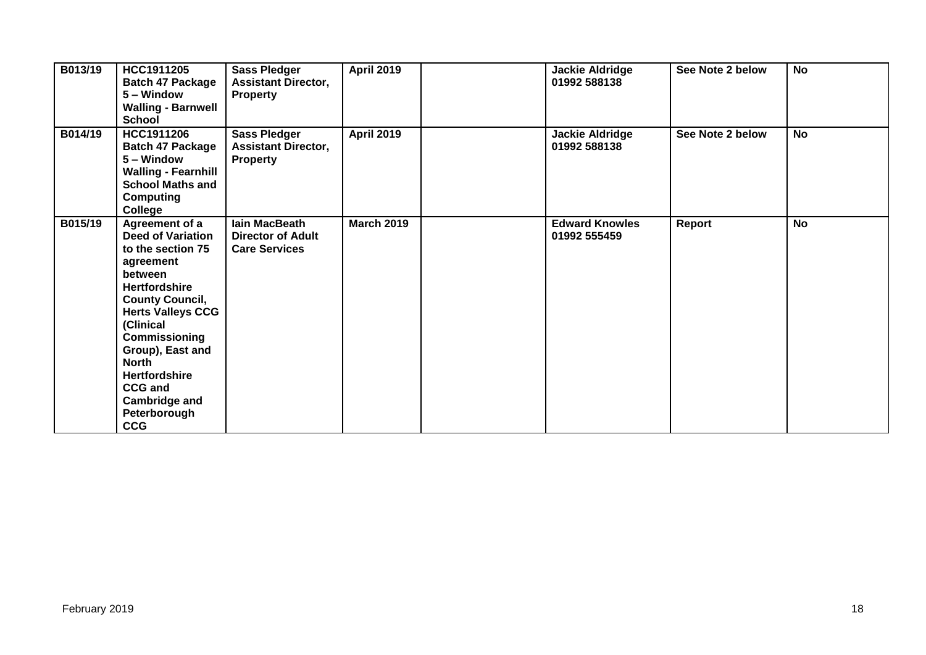| B013/19 | HCC1911205<br><b>Batch 47 Package</b><br>5 – Window<br><b>Walling - Barnwell</b><br><b>School</b>                                                                                                                                                                                                                                       | <b>Sass Pledger</b><br><b>Assistant Director,</b><br><b>Property</b> | <b>April 2019</b> | <b>Jackie Aldridge</b><br>01992 588138 | See Note 2 below | <b>No</b> |
|---------|-----------------------------------------------------------------------------------------------------------------------------------------------------------------------------------------------------------------------------------------------------------------------------------------------------------------------------------------|----------------------------------------------------------------------|-------------------|----------------------------------------|------------------|-----------|
| B014/19 | HCC1911206<br><b>Batch 47 Package</b><br>5 – Window<br><b>Walling - Fearnhill</b><br><b>School Maths and</b><br><b>Computing</b><br>College                                                                                                                                                                                             | <b>Sass Pledger</b><br><b>Assistant Director,</b><br><b>Property</b> | <b>April 2019</b> | <b>Jackie Aldridge</b><br>01992 588138 | See Note 2 below | <b>No</b> |
| B015/19 | Agreement of a<br><b>Deed of Variation</b><br>to the section 75<br>agreement<br>between<br><b>Hertfordshire</b><br><b>County Council,</b><br><b>Herts Valleys CCG</b><br>(Clinical<br><b>Commissioning</b><br>Group), East and<br><b>North</b><br><b>Hertfordshire</b><br><b>CCG and</b><br>Cambridge and<br>Peterborough<br><b>CCG</b> | lain MacBeath<br><b>Director of Adult</b><br><b>Care Services</b>    | <b>March 2019</b> | <b>Edward Knowles</b><br>01992 555459  | Report           | <b>No</b> |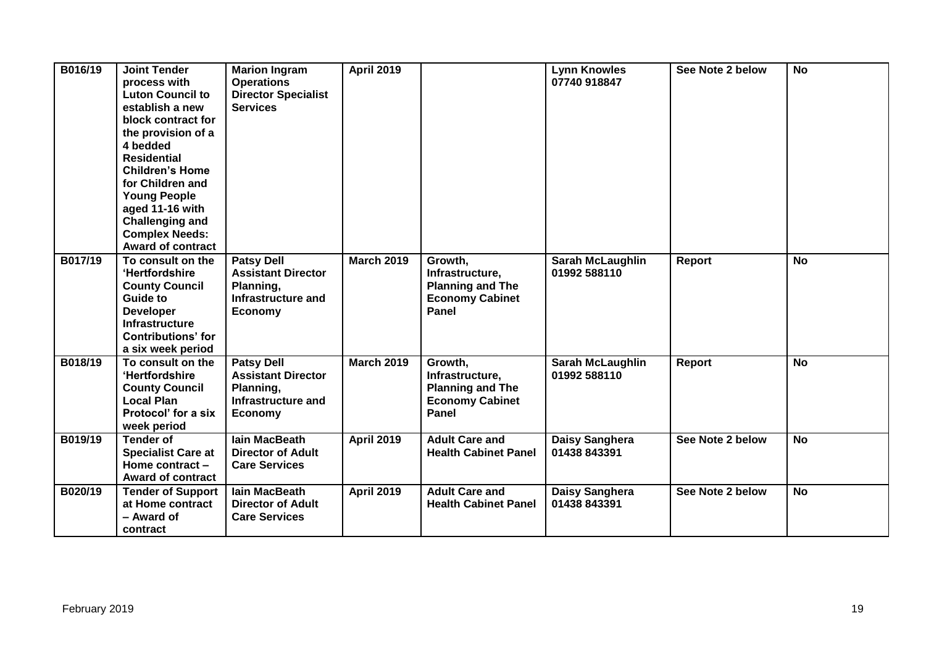| B016/19 | <b>Joint Tender</b><br>process with<br><b>Luton Council to</b><br>establish a new<br>block contract for<br>the provision of a<br>4 bedded<br><b>Residential</b><br><b>Children's Home</b><br>for Children and<br><b>Young People</b><br>aged 11-16 with<br><b>Challenging and</b><br><b>Complex Needs:</b><br>Award of contract | <b>Marion Ingram</b><br><b>Operations</b><br><b>Director Specialist</b><br><b>Services</b>          | <b>April 2019</b> |                                                                                          | <b>Lynn Knowles</b><br>07740 918847     | See Note 2 below | <b>No</b> |
|---------|---------------------------------------------------------------------------------------------------------------------------------------------------------------------------------------------------------------------------------------------------------------------------------------------------------------------------------|-----------------------------------------------------------------------------------------------------|-------------------|------------------------------------------------------------------------------------------|-----------------------------------------|------------------|-----------|
| B017/19 | To consult on the<br>'Hertfordshire<br><b>County Council</b><br>Guide to<br><b>Developer</b><br>Infrastructure<br>Contributions' for<br>a six week period                                                                                                                                                                       | <b>Patsy Dell</b><br><b>Assistant Director</b><br>Planning,<br><b>Infrastructure and</b><br>Economy | <b>March 2019</b> | Growth,<br>Infrastructure,<br><b>Planning and The</b><br><b>Economy Cabinet</b><br>Panel | <b>Sarah McLaughlin</b><br>01992 588110 | Report           | <b>No</b> |
| B018/19 | To consult on the<br>'Hertfordshire<br><b>County Council</b><br><b>Local Plan</b><br>Protocol' for a six<br>week period                                                                                                                                                                                                         | <b>Patsy Dell</b><br><b>Assistant Director</b><br>Planning,<br>Infrastructure and<br><b>Economy</b> | <b>March 2019</b> | Growth,<br>Infrastructure,<br><b>Planning and The</b><br><b>Economy Cabinet</b><br>Panel | <b>Sarah McLaughlin</b><br>01992 588110 | Report           | <b>No</b> |
| B019/19 | <b>Tender of</b><br><b>Specialist Care at</b><br>Home contract $-$<br><b>Award of contract</b>                                                                                                                                                                                                                                  | <b>lain MacBeath</b><br><b>Director of Adult</b><br><b>Care Services</b>                            | <b>April 2019</b> | <b>Adult Care and</b><br><b>Health Cabinet Panel</b>                                     | Daisy Sanghera<br>01438 843391          | See Note 2 below | <b>No</b> |
| B020/19 | <b>Tender of Support</b><br>at Home contract<br>- Award of<br>contract                                                                                                                                                                                                                                                          | <b>lain MacBeath</b><br><b>Director of Adult</b><br><b>Care Services</b>                            | <b>April 2019</b> | <b>Adult Care and</b><br><b>Health Cabinet Panel</b>                                     | Daisy Sanghera<br>01438 843391          | See Note 2 below | <b>No</b> |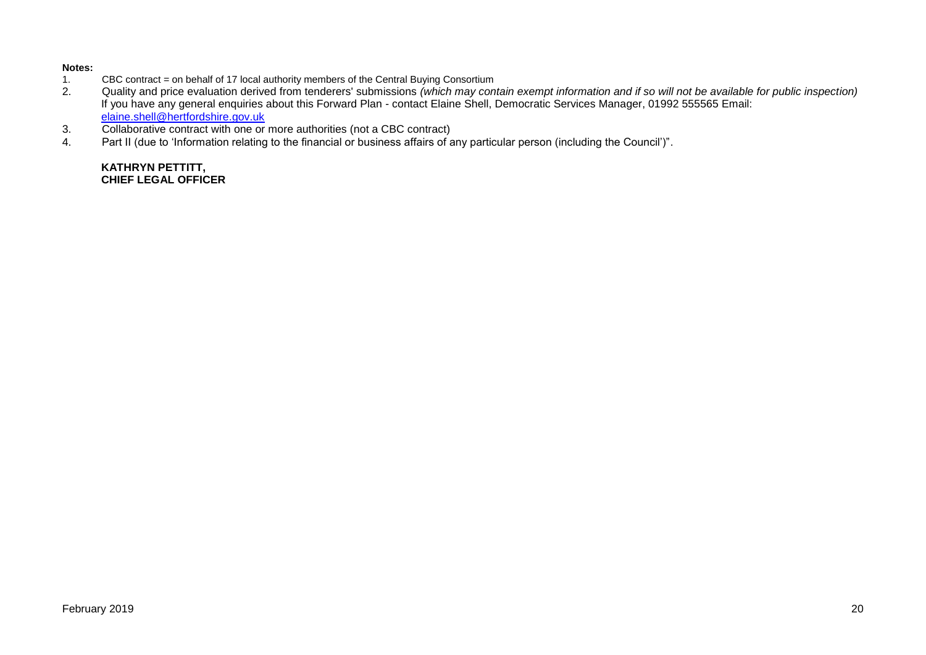#### **Notes:**

- 1. CBC contract = on behalf of 17 local authority members of the Central Buying Consortium<br>2. Cuality and price evaluation derived from tenderers' submissions (which may con
- 2. Quality and price evaluation derived from tenderers' submissions *(which may contain exempt information and if so will not be available for public inspection)* If you have any general enquiries about this Forward Plan - contact Elaine Shell, Democratic Services Manager, 01992 555565 Email: [elaine.shell@hertfordshire.gov.uk](mailto:elaine.shell@hertfordshire.gov.uk)
- 3. Collaborative contract with one or more authorities (not a CBC contract)
- 4. Part II (due to 'Information relating to the financial or business affairs of any particular person (including the Council')".

**KATHRYN PETTITT, CHIEF LEGAL OFFICER**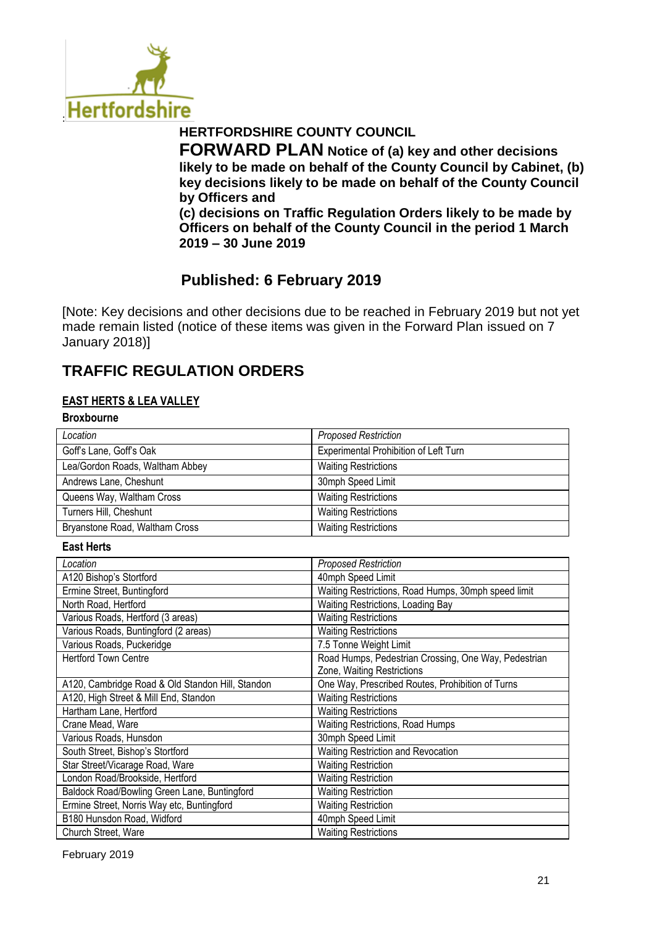

# **HERTFORDSHIRE COUNTY COUNCIL**

**FORWARD PLAN Notice of (a) key and other decisions likely to be made on behalf of the County Council by Cabinet, (b) key decisions likely to be made on behalf of the County Council by Officers and** 

**(c) decisions on Traffic Regulation Orders likely to be made by Officers on behalf of the County Council in the period 1 March 2019 – 30 June 2019**

# **Published: 6 February 2019**

[Note: Key decisions and other decisions due to be reached in February 2019 but not yet made remain listed (notice of these items was given in the Forward Plan issued on 7 January 2018)]

# **TRAFFIC REGULATION ORDERS**

### **EAST HERTS & LEA VALLEY**

#### **Broxbourne**

| Location                        | <b>Proposed Restriction</b>           |
|---------------------------------|---------------------------------------|
| Goff's Lane, Goff's Oak         | Experimental Prohibition of Left Turn |
| Lea/Gordon Roads, Waltham Abbey | <b>Waiting Restrictions</b>           |
| Andrews Lane, Cheshunt          | 30mph Speed Limit                     |
| Queens Way, Waltham Cross       | <b>Waiting Restrictions</b>           |
| Turners Hill, Cheshunt          | <b>Waiting Restrictions</b>           |
| Bryanstone Road, Waltham Cross  | <b>Waiting Restrictions</b>           |

#### **East Herts**

| Location                                         | <b>Proposed Restriction</b>                          |
|--------------------------------------------------|------------------------------------------------------|
| A120 Bishop's Stortford                          | 40mph Speed Limit                                    |
| Ermine Street, Buntingford                       | Waiting Restrictions, Road Humps, 30mph speed limit  |
| North Road, Hertford                             | Waiting Restrictions, Loading Bay                    |
| Various Roads, Hertford (3 areas)                | <b>Waiting Restrictions</b>                          |
| Various Roads, Buntingford (2 areas)             | <b>Waiting Restrictions</b>                          |
| Various Roads, Puckeridge                        | 7.5 Tonne Weight Limit                               |
| <b>Hertford Town Centre</b>                      | Road Humps, Pedestrian Crossing, One Way, Pedestrian |
|                                                  | Zone, Waiting Restrictions                           |
| A120, Cambridge Road & Old Standon Hill, Standon | One Way, Prescribed Routes, Prohibition of Turns     |
| A120, High Street & Mill End, Standon            | <b>Waiting Restrictions</b>                          |
| Hartham Lane, Hertford                           | <b>Waiting Restrictions</b>                          |
| Crane Mead, Ware                                 | Waiting Restrictions, Road Humps                     |
| Various Roads, Hunsdon                           | 30mph Speed Limit                                    |
| South Street, Bishop's Stortford                 | Waiting Restriction and Revocation                   |
| Star Street/Vicarage Road, Ware                  | <b>Waiting Restriction</b>                           |
| London Road/Brookside, Hertford                  | <b>Waiting Restriction</b>                           |
| Baldock Road/Bowling Green Lane, Buntingford     | <b>Waiting Restriction</b>                           |
| Ermine Street, Norris Way etc, Buntingford       | <b>Waiting Restriction</b>                           |
| B180 Hunsdon Road, Widford                       | 40mph Speed Limit                                    |
| Church Street, Ware                              | <b>Waiting Restrictions</b>                          |

February 2019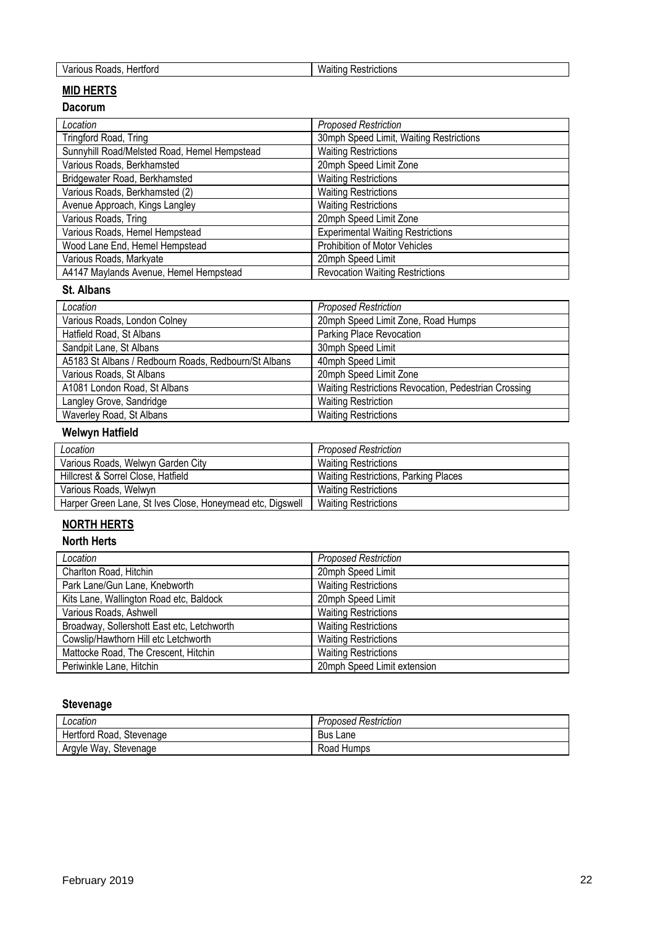| - - -<br>้านร<br>oads<br>۰ιο.<br>/ari<br>tiorc<br>. | w<br>-----<br>'rictions<br>״<br>.<br>__ |
|-----------------------------------------------------|-----------------------------------------|

# **MID HERTS**

#### **Dacorum**

| Location                                     | <b>Proposed Restriction</b>              |
|----------------------------------------------|------------------------------------------|
| Tringford Road, Tring                        | 30mph Speed Limit, Waiting Restrictions  |
| Sunnyhill Road/Melsted Road, Hemel Hempstead | <b>Waiting Restrictions</b>              |
| Various Roads, Berkhamsted                   | 20mph Speed Limit Zone                   |
| Bridgewater Road, Berkhamsted                | <b>Waiting Restrictions</b>              |
| Various Roads, Berkhamsted (2)               | <b>Waiting Restrictions</b>              |
| Avenue Approach, Kings Langley               | <b>Waiting Restrictions</b>              |
| Various Roads, Tring                         | 20mph Speed Limit Zone                   |
| Various Roads, Hemel Hempstead               | <b>Experimental Waiting Restrictions</b> |
| Wood Lane End, Hemel Hempstead               | Prohibition of Motor Vehicles            |
| Various Roads, Markyate                      | 20mph Speed Limit                        |
| A4147 Maylands Avenue, Hemel Hempstead       | <b>Revocation Waiting Restrictions</b>   |

#### **St. Albans**

| Location                                             | <b>Proposed Restriction</b>                          |
|------------------------------------------------------|------------------------------------------------------|
| Various Roads, London Colney                         | 20mph Speed Limit Zone, Road Humps                   |
| Hatfield Road, St Albans                             | Parking Place Revocation                             |
| Sandpit Lane, St Albans                              | 30mph Speed Limit                                    |
| A5183 St Albans / Redbourn Roads, Redbourn/St Albans | 40mph Speed Limit                                    |
| Various Roads, St Albans                             | 20mph Speed Limit Zone                               |
| A1081 London Road, St Albans                         | Waiting Restrictions Revocation, Pedestrian Crossing |
| Langley Grove, Sandridge                             | <b>Waiting Restriction</b>                           |
| Waverley Road, St Albans                             | <b>Waiting Restrictions</b>                          |

# **Welwyn Hatfield**

| Location                                                  | <b>Proposed Restriction</b>                 |
|-----------------------------------------------------------|---------------------------------------------|
| Various Roads, Welwyn Garden City                         | <b>Waiting Restrictions</b>                 |
| Hillcrest & Sorrel Close, Hatfield                        | <b>Waiting Restrictions, Parking Places</b> |
| Various Roads, Welwyn                                     | <b>Waiting Restrictions</b>                 |
| Harper Green Lane, St Ives Close, Honeymead etc, Digswell | <b>Waiting Restrictions</b>                 |

## **NORTH HERTS**

#### **North Herts**

| Location                                   | <b>Proposed Restriction</b> |
|--------------------------------------------|-----------------------------|
| Charlton Road, Hitchin                     | 20mph Speed Limit           |
| Park Lane/Gun Lane, Knebworth              | <b>Waiting Restrictions</b> |
| Kits Lane, Wallington Road etc, Baldock    | 20mph Speed Limit           |
| Various Roads, Ashwell                     | <b>Waiting Restrictions</b> |
| Broadway, Sollershott East etc, Letchworth | <b>Waiting Restrictions</b> |
| Cowslip/Hawthorn Hill etc Letchworth       | <b>Waiting Restrictions</b> |
| Mattocke Road, The Crescent, Hitchin       | <b>Waiting Restrictions</b> |
| Periwinkle Lane, Hitchin                   | 20mph Speed Limit extension |

## **Stevenage**

| Location                    | <b>Proposed Restriction</b> |
|-----------------------------|-----------------------------|
| Hertford Road,<br>Stevenage | <b>Bus</b><br>Lane          |
| Stevenage<br>Argyle Way.    | Road Humps                  |